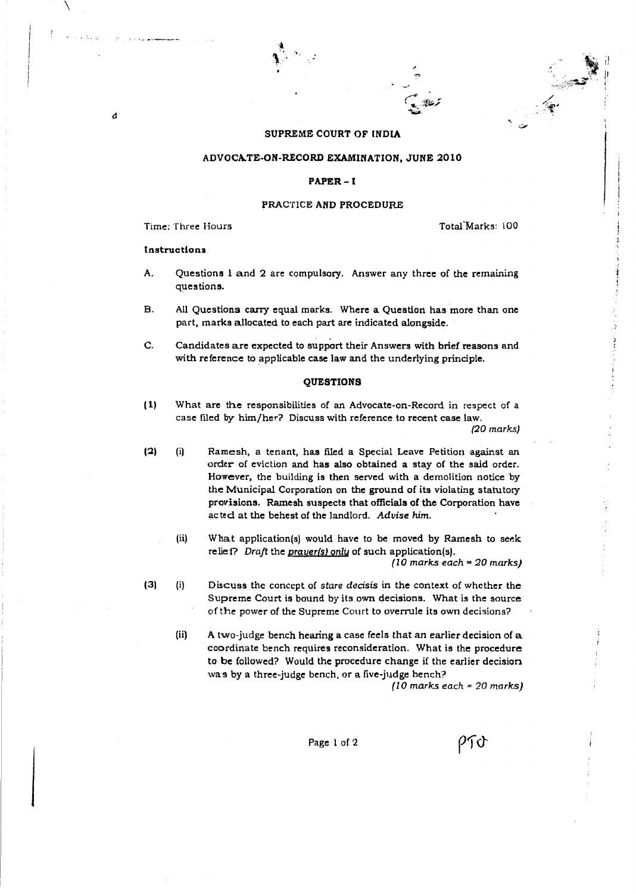#### SUPREME COURT OF INDIA

#### ADVOCATE-ON-RECORD EXAMINATION, JUNE 2010

#### PAPER-I

#### PRACTICE AND PROCEDURE

Time: Three Hours

Total Marks: 100

#### Instructions

 $\overline{\phantom{a}}$ 

 $\boldsymbol{d}$ 

- A. Questions 1 and 2 are compulsory. Answer any three of the remaining questions.
- B. All Questions carry equal marks. Where a Question has more than one part, marks allocated to each part are indicated alongside.
- C. Candidates are expected to support their Answers with brief reasons and with reference to applicable case law and the underlying principle.

#### QUESTIONS

(1) What are the responsibilities of an Advocate-an-Record in respect of a case filed by him/her? Discuss with reference to recent case law. (20 marks)

(2) (i) Ramesh, a tenant, has filed a Special Leave Petition against an order of eviction and has also obtained a stay of the said order. However, the building is then served with a demolition notice by the Municipal Corporation on the ground of its violating statutory provisions. Ramesh suspects that officials of the Corporation have acted at the behest of the landlord. *Advise him.*

(ii) What application(s) would have to be moved by Ramesh to seek relief? Draft the prayer(s) only of such application(s).

 $(10 \text{ marks each} = 20 \text{ marks})$ 

- (3) (i) Discuss the concept of *stare decisis* in the context of whether the Supreme Court is bound by its own decisions. What is the source of the power of the Supreme Court to overrule its own decisions?
	- (ii) A two-judge bench hearing a case feels that an earlier decision of a coordinate bench requires reconsideration. What is the procedure to be followed? Would the procedure change if the earlier decision was by a three-judge bench, or a five-judge hench?

(10 marks each = 20 marks)

ንጉን

Page 1 of 2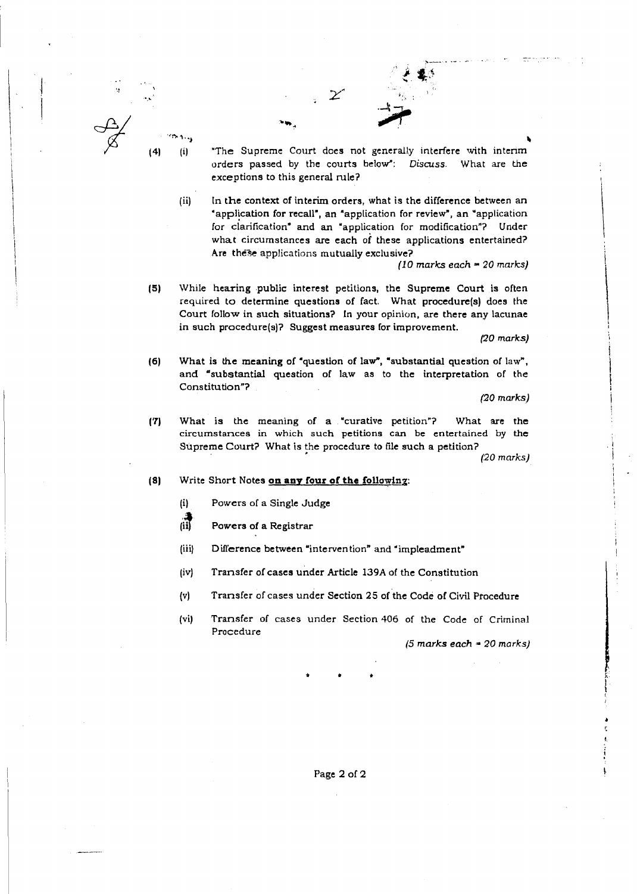

"The Supreme Court does not generally interfere with interim orders passed by the courts below": Discuss. What are the exceptions to this general mle?

(ii) In the context of interim orders, what is the difference between an "application for recall", an "application for review", an "application for clarification" and an "application for modification"? Under what circumstances are each of these applications entertained? Are these applications mutually exclusive?

 $\overline{\mathcal{Z}}$ 

 $(10$  marks each = 20 marks)

~-\_... ~- ---

15) While hearing public interest petitions, the Supreme Court is often required to determine questions of fact. What procedure(s) does the Court follow in such situations? In your opinion, are there any lacunae in such procedure(s)? Suggest measures for improvement. red to determine quality<br>red to determine quality<br>the procedure(s)? Sue is the meaning of "substantial questity<br>titution"?<br>is the meaning meaning<br>meaning meaning meaning meaning meaning that is<br>Short Notes on any

(20 marks)

 $\overline{\phantom{a}}$ 

 $\overline{\mathcal{L}}$ 

I

 $\overline{\phantom{a}}$ 

I I I I I

£  $\mathfrak{h}% _{2}^{2}=\mathfrak{h}_{2}^{2}+\mathfrak{h}_{1}^{2}+\mathfrak{h}_{2}^{2}$ 

(6) What is the meaning of "question of law", "substantial question of law", and "substantial question of law as to the interpretation of the Constitution"?

(20 marks)

(7) What is the meaning of a <sup>&</sup>gt; "curative petition"? What are the circumstances in which such petitions can be entertained by the Supreme Court? What is the procedure to file such a petition?

(20 marks)

- (8) Write Short Notes on any four of the following:
	- $(i)$ Powers of a Single Judge
	- 講 Powers of a Registrar
	- (iii) Difference between "intervention" and "impleadment"
	- (iv) Transfer of cases under Article 139A of the Constitution
	- (v) Transfer of cases under Section 25 of the Code of Civil Procedure
	- (vi) Transfer of cases under Section 406 of the Code of Criminal Procedure

(5 marks each  $=$  20 marks)

Page 2 of 2

\*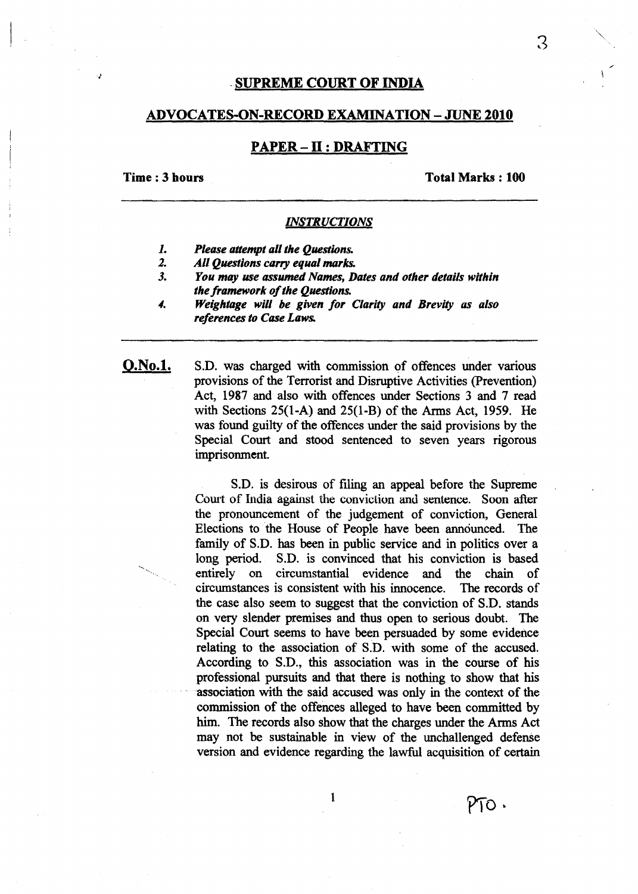## .SUPREME COURT OF INDIA

#### ADVOCATES-ON-RECORD EXAMINATION - JUNE 2010

## PAPER – II : DRAFTING

## Time: 3 hours

Total Marks: 100

## *INSTRUCTIONS*

- 1. *Please attempt all the Questions.*
- 2. *All Questions carry equal marks.*
- 3. *You may use assumed Names, Dates and other details within the framework of the Questions.*
- 4. *Weightage will be given for Clarity and Brevity as also references to Case Laws.*

O.No.l. S.D. was charged with commission of offences under various provisions of the Terrorist and Disruptive Activities (prevention) Act, 1987 and also with offences under Sections 3 and 7 read with Sections 25(1-A) and 25(1-B) of the Arms Act, 1959. He was found guilty of the offences under the said provisions by the Special Court and stood sentenced to seven years rigorous imprisonment.

> S.D. is desirous of filing an appeal before the Supreme Court of India against the conviction and sentence. Soon after the pronouncement of the judgement of conviction, General Elections to the House of People have been announced. The family of S.D. has been in public service and in politics over a long period. S.D. is convinced that his conviction is based entirely on circumstantial evidence and the chain of circumstances is consistent with his innocence. The records of the case also seem to suggest that the conviction of S.D. stands on very slender premises and thus open to serious doubt. The Special Court seems to have been persuaded by some evidence relating to the association of S.D. with some of the accused. According to S.D., this association was in the course of his professional pursuits and that there is nothing to show that his association with the said accused was only in the context of the commission of the offences alleged to have been committed by him. The records also show that the charges under the Arms Act may not be sustainable in view of the unchallenged defense version and evidence regarding the lawful acquisition of certain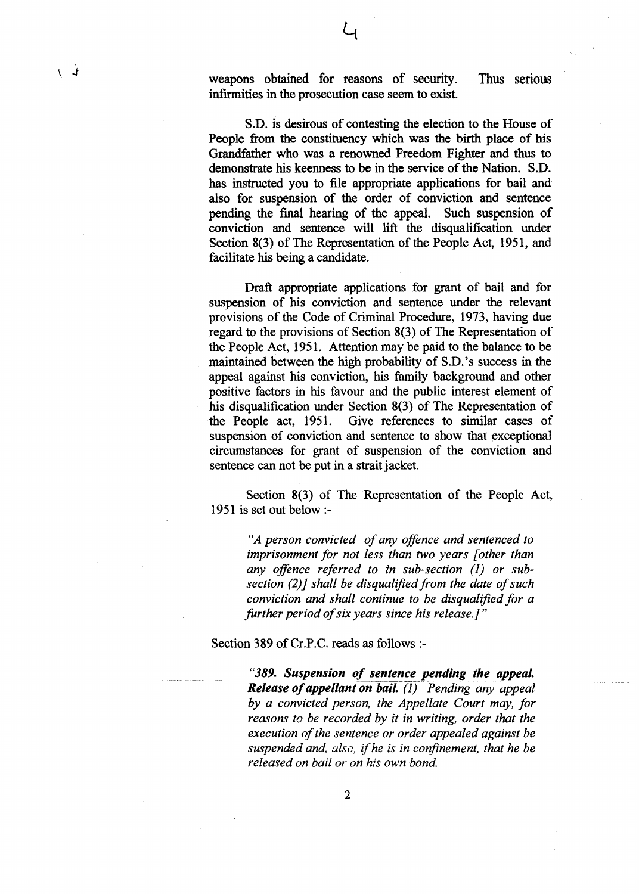weapons obtained for reasons of security. Thus senous infirmities in the prosecution case seem to exist.

S.D. is desirous of contesting the election to the House of People from the constituency which was the birth place of his Grandfather who was a renowned Freedom Fighter and thus to demonstrate his keenness to be in the service of the Nation. S.D. has instructed you to file appropriate applications for bail and also for suspension of the order of conviction and sentence pending the final hearing of the appeal. Such suspension of conviction and sentence will lift the disqualification under Section 8(3) of The Representation of the People Act, 1951, and facilitate his being a candidate.

Draft appropriate applications for grant of bail and for suspension of his conviction and sentence under the relevant provisions of the Code of Criminal Procedure, 1973, having due regard to the provisions of Section 8(3) of The Representation of the People Act, 1951. Attention may be paid to the balance to be maintained between the high probability of S.D.'s success in the appeal against his conviction, his family background and other positive factors in his favour and the public interest element of his disqualification under Section 8(3) of The Representation of the People act, 1951. Give references to similar cases of Give references to similar cases of suspension of conviction and sentence to show that exceptional circumstances for grant of suspension of the conviction and sentence can not be put in a strait jacket.

Section 8(3) of The Representation of the People Act, 1951 is set out below :-

*"A person convicted ofany offence and sentenced to imprisonment for not less than two years [other than any offence referred to in sub-section* (l) *or subsection* (2)) *shall be disqualified from the date ofsuch conviction and shall continue to be disqualified for a further period ofsix years since his release.]"*

Section 389 of Cr.P.C. reads as follows :-

*"389. Suspension of sentence pending the appeaL Release of appellant on bail.* (1) Pending *any appeal by a convicted person, the Appellate Court may, for reasons to be recorded by it in writing, order that the execution ofthe sentence or order appealed against be suspended and, also,* if*he is in confinement, that he be released on bail or on his own bond.*

 $\downarrow$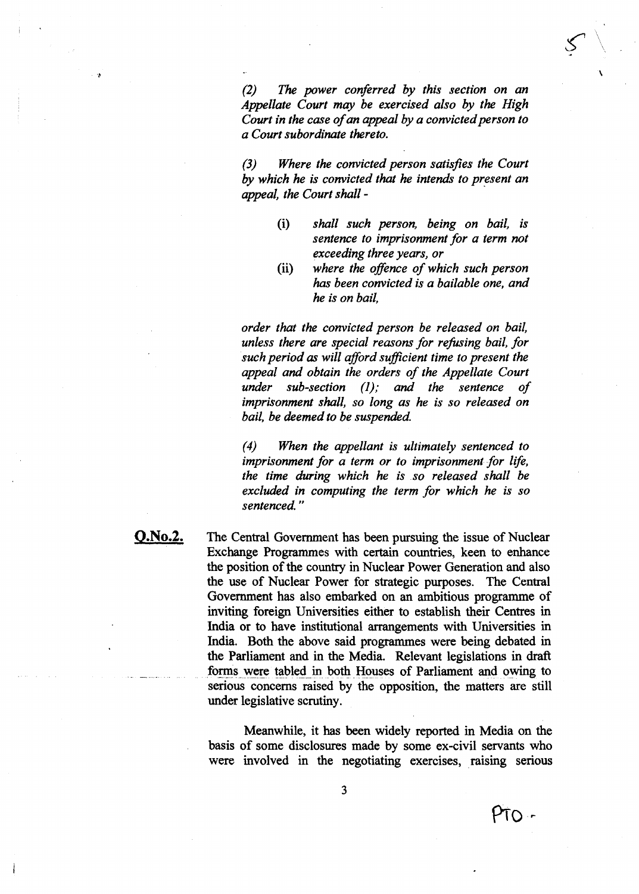*(2) The power conferred by this section on an Appellate Court may be exercised also by the High Court in the case ofan appeal by a convictedperson to a Court subordinate thereto.*

\

*(3) Where the convicted person satisfies the Court* by *which he is convicted that he intends to present an appeal, the Court shall -*

- (i) *shall such person, being on bail, is sentence to imprisonment for a term not exceeding three years, or*
- (ii) *where the offence ofwhich such person* has *been convicted is a bailable one, and he is on bail,*

*order that the convicted person be released on bail, unless there are special reasons for refusing bail, for such period as will afford sufficient time to present the appeal and obtain the orders of the Appellate Court under sub-section (l),. and the sentence of imprisonment shall, so long as he is so released on bail, be deemed to be suspended*

*(4) When the appellant is ultimately sentenced to imprisonment for a term or to imprisonment for life, the time during which he is so released shall be excluded in computing the term for which he is so sentenced. "*

**Q.No.2.** The Central Government has been pursuing the issue of Nuclear Exchange Programmes with certain countries, keen to enhance the position of the country in Nuclear Power Generation and also the use of Nuclear Power for strategic purposes. The Central Government has also embarked on an ambitious programme of inviting foreign Universities either to establish their Centres in India or to have institutional arrangements with Universities in India. Both the above said programmes were being debated in the Parliament and in the Media. Relevant legislations in draft forms were tabled in both Houses of Parliament and owing to serious concerns raised by the opposition, the matters are still under legislative scrutiny.

> Meanwhile, it has been widely reported in Media on the basis of some disclosures made by some ex-civil servants who were involved in the negotiating exercises, raising serious

PTO -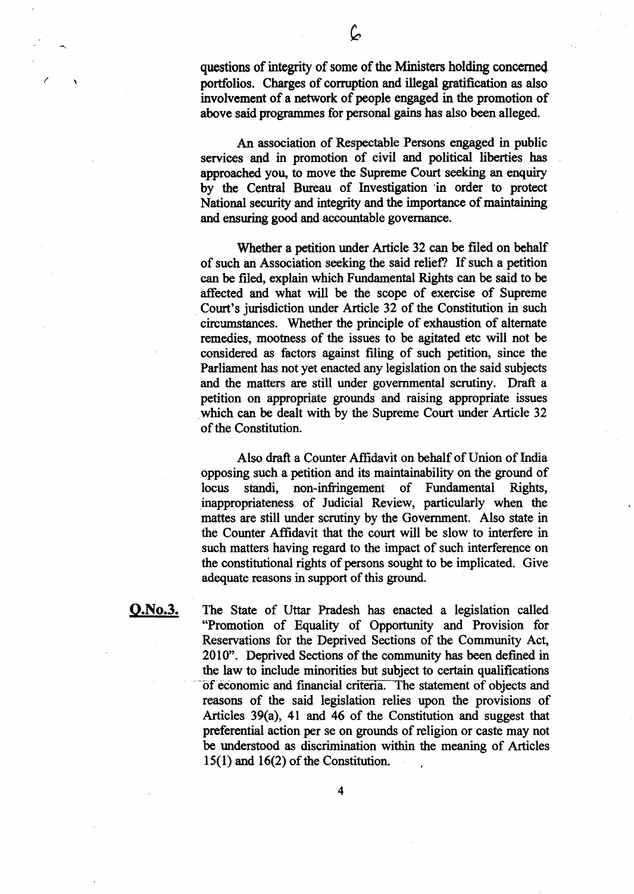questions of integrity of some of the Ministers holding concerned portfolios. Charges of corruption and illegal gratification as also involvement of a network of people engaged in the promotion of above said programmes for personal gains has also been alleged.

An association of Respectable Persons engaged in public services and in promotion of civil and political liberties has approached you, to move the Supreme Court seeking an enquiry by the Central Bureau of Investigation 'in order to protect National security and integrity and the importance of maintaining and ensuring good and accountable governance.

Whether a petition under Article 32 can be filed on behalf of such an Association seeking the said relief? If such a petition can be filed, explain which Fundamental Rights can be said to be affected and what will be the scope of exercise of Supreme . Court's jurisdiction under Article 32 of the Constitution in such circumstances. Whether the principle of exhaustion of alternate remedies, mootness of the issues to be agitated etc will not be considered as factors against filing of such petition, since the Parliament has not yet enacted any legislation on the said subjects and the matters are still under governmental scrutiny. Draft a petition on appropriate grounds and raising appropriate issues which can be dealt with by the Supreme Court under Article 32 of the Constitution.

Also draft a Counter Affidavit on behalf of Union of India opposing such a petition and its maintainability on the ground of locus standi, non-infringement of Fundamental Rights, inappropriateness of Judicial Review, particularly when the mattes are still under scrutiny by the Government. Also state in the Counter Affidavit that the court will be slow to interfere in such matters having regard to the impact of such interference on the constitutional rights of persons sought to be implicated. Give adequate reasons in support of this ground.

Q.No.3. The State of Uttar Pradesh has enacted a legislation called "Promotion of Equality of Opportunity and Provision for Reservations for the Deprived Sections of the Community Act, 2010". Deprived Sections of the community has been defined in the law to include minorities but subject to certain qualifications of economic and financial criteria. The statement of objects and reasons of the said legislation relies upon the provisions of Articles 39(a), 41 and 46 of the Constitution and suggest that preferential action per se on grounds of religion or caste may not be understood as discrimination within the meaning of Articles  $15(1)$  and  $16(2)$  of the Constitution.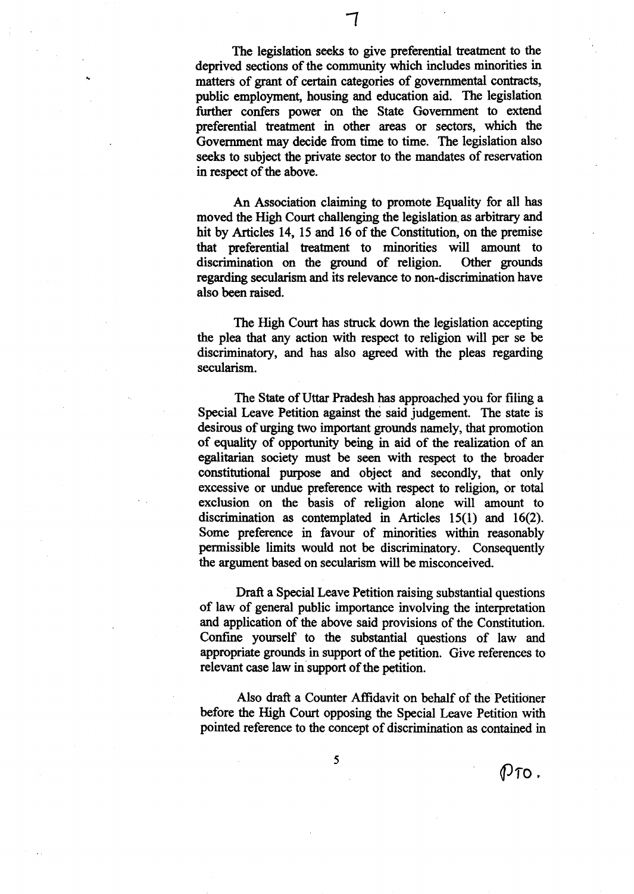The legislation seeks to give preferential treatment to the deprived sections of the community which includes minorities in matters of grant of certain categories of governmental contracts, public employment, housing and education aid. The legislation further confers power on the State Government to extend preferential treatment in other areas or sectors, which the Government may decide from time to time. The legislation also seeks to subject the private sector to the mandates of reservation in respect of the above.

An Association claiming to promote Equality for all has moved the High Court challenging the legislation, as arbitrary and hit by Articles 14, 15 and 16 of the Constitution, on the premise that preferential treatment to minorities will amount to discrimination on the ground of religion. Other grounds regarding secularism and its relevance to non-discrimination have also been raised.

The High Court has struck down the legislation accepting the plea that any action with respect to religion will per se be discriminatory, and has also agreed with the pleas regarding secularism.

The State of Uttar Pradesh has approached you for filing a Special Leave Petition against the said judgement. The state is desirous of urging two important grounds namely, that promotion of equality of opportunity being in aid of the realization of an egalitarian society must be seen with respect to the broader constitutional purpose and object and secondly, that only excessive or undue preference with respect to religion, or total exclusion on the basis of religion alone will amount to discrimination as contemplated in Articles 15(1) and 16(2). Some preference in favour of minorities within reasonably permissible limits would not be discriminatory. Consequently the argument based on secularism will be misconceived.

Draft a Special Leave Petition raising substantial questions of law of general public importance involving the interpretation and application of the above said provisions of the Constitution. Confme yourself to the substantial questions of law and appropriate grounds in support of the petition. Give references to relevant case law in support of the petition.

Also draft a Counter Affidavit on behalf of the Petitioner before the High Court opposing the Special Leave Petition with pointed reference to the concept of discrimination as contained in

..

 $\emptyset$ To.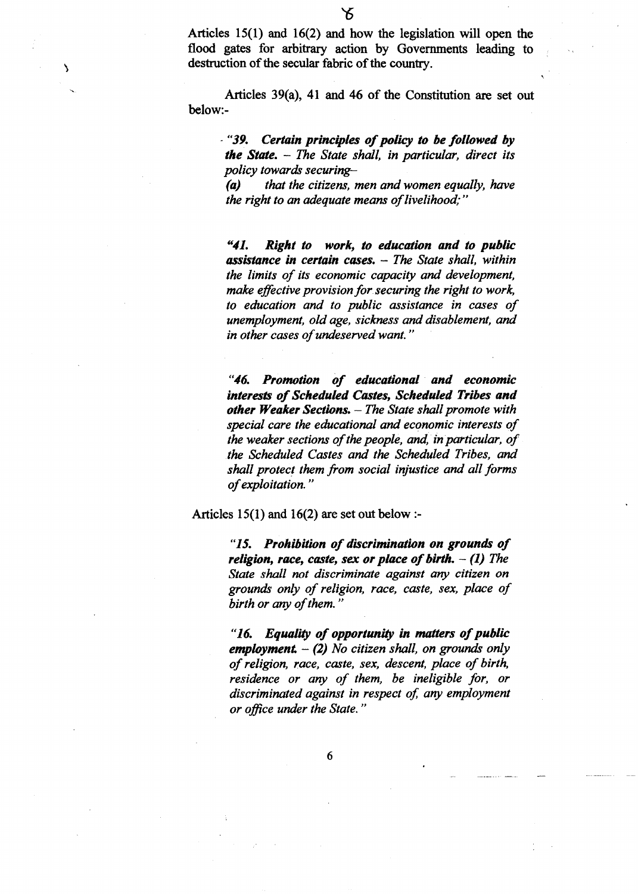Articles 39(a), 41 and 46 of the Constitution are set out below:-

- "39. *Certain principles ofpolicy to be followed by the State.* - *The State shall, in particular, direct its policy towards securing-*

*(a) that the citizens, men and women equally, have the right to an adequate means of livelihood;"* 

*"41. Right to work,* to *education and to public assistance in certain cases.* - *The State shall, within the limits of its economic capacity and development, make effective provision for securing the right to work, to education and to public assistance in cases of unemployment, old age, sickness and disablement, and in other cases ofundeservedwant. "*

*"46. Promotion of educational and economic interests ofScheduled Castes, Scheduled Tribes and other Weaker Sections.* - *The State shall promote with SPecial care the educational and economic interests of the* weaker sections of the people, and, in particular, of *the Scheduled Castes and the Scheduled Tribes,* and *shall protect them from social injustice and all forms ofexploitation. "*

Articles 15(1) and 16(2) are set out below :-

"15. *Prohibition of discrimination on grounds of religion, race, caste, sex or place of birth.*  $- (1)$  *The State shall not discriminate against any citizen on grounds only ofreligion, race, caste, sex, place of birth or any of them.* 

"16. *Equality of opportunity in matters ofpublic employment* - (2) *No citizen shall, on grounds only ofreligion, race, caste, sex, descent, place of birth, residence or any of them, be ineligible for, or discriminated against in respect of, any employment or office under the State. "*

'\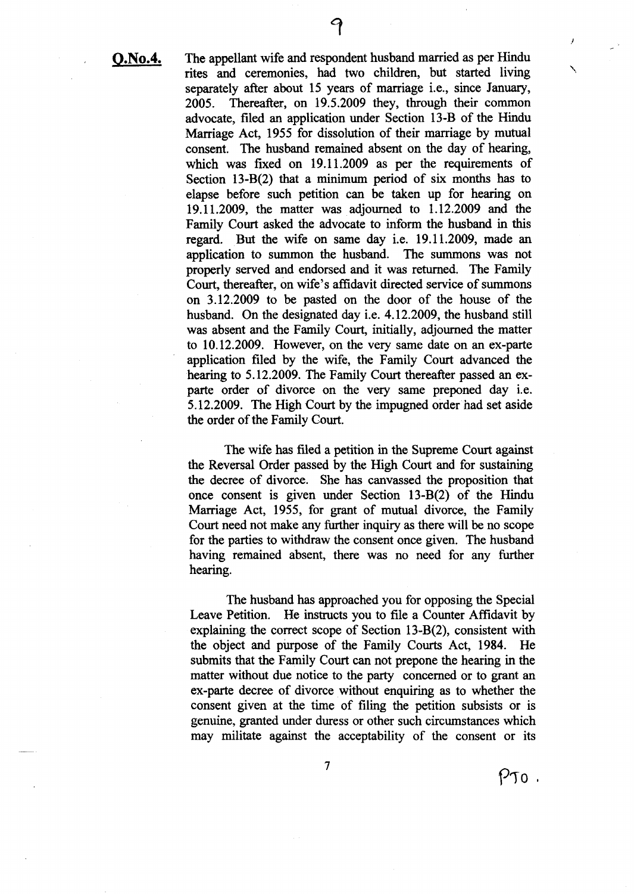**O.No.4.** The appellant wife and respondent husband married as per Hindu rites and ceremonies, had two children, but started living separately after about 15 years of marriage i.e., since January, 2005. Thereafter, on 19.5.2009 they, through their common advocate, filed an application under Section 13-B of the Hindu Marriage Act, 1955 for dissolution of their marriage by mutual consent. The husband remained absent on the day of hearing, which was fixed on 19.11.2009 as per the requirements of Section 13-B(2) that a minimum period of six months has to elapse before such petition can be taken up for hearing on 19.11.2009, the matter was adjourned to 1.12.2009 and the Family Court asked the advocate to inform the husband in this regard. But the wife on same day i.e. 19.11.2009, made an application to summon the husband. The summons was not properly served and endorsed and it was returned. The Family Court, thereafter, on wife's affidavit directed service of summons

on 3.12.2009 to be pasted on the door of the house of the husband. On the designated day i.e. 4.12.2009, the husband still was absent and the Family Court, initially, adjourned the matter to 10.12.2009. However, on the very same date on an ex-parte application filed by the wife, the Family Court advanced the hearing to 5.12.2009. The Family Court thereafter passed an exparte order of divorce on the very same preponed day i.e. 5.12.2009. The High Court by the impugned order had set aside the order of the Family Court.

The wife has filed a petition in the Supreme Court against the Reversal Order passed by the High Court and for sustaining the decree of divorce. She has canvassed the proposition that once consent is given under Section 13-B(2) of the Hindu Marriage Act, 1955, for grant of mutual divorce, the Family Court need not make any further inquiry as there will be no scope for the parties to withdraw the consent once given. The husband having remained absent, there was no need for any further hearing.

The husband has approached you for opposing the Special Leave Petition. He instructs you to file a Counter Affidavit by explaining the correct scope of Section 13-B(2), consistent with the object and pUrpose of the Family Courts Act, 1984. He submits that the Family Court can not prepone the hearing in the matter without due notice to the party concerned or to grant an ex-parte decree of divorce without enquiring as to whether the consent given at the time of filing the petition subsists or is genuine, granted under duress or other such circumstances which may militate against the acceptability of the consent or its

7

J

 $\overline{\phantom{a}}$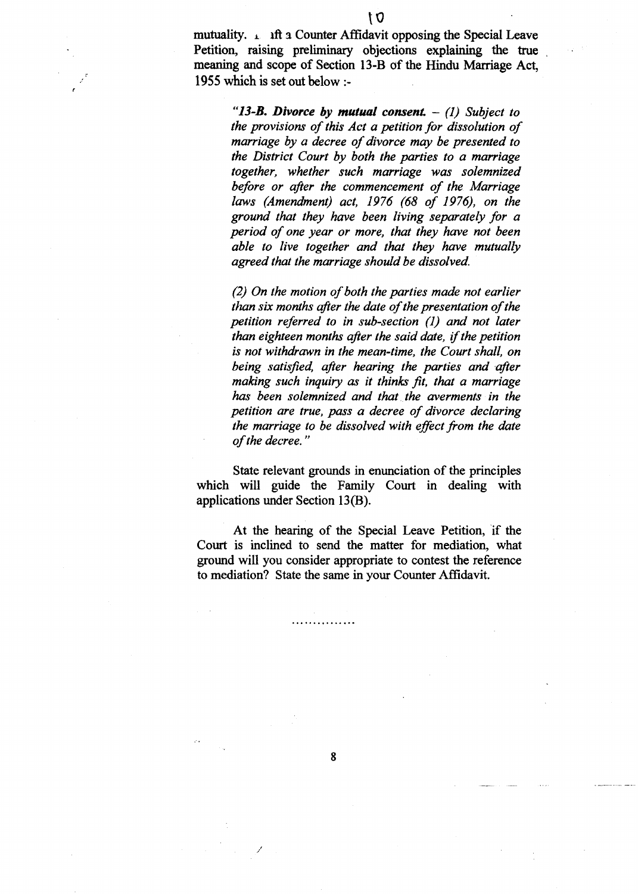mutuality.  $\angle$  ift a Counter Affidavit opposing the Special Leave Petition, raising preliminary objections explaining the true meaning and scope of Section 13-B of the Hindu Marriage Act, 1955 which is set out below :-

> *"13-B. Divorce* by *mutual consent.* - (1) *Subject to the provisions of this Act a petition for dissolution of marriage by a decree of divorce may be presented to the District Court by both the parties to a marriage together, whether such marriage was solemnized before or after the commencement of the Marriage laws (Amendment) act,* 1976 (68 *of* 1976), *on the ground that they have been living separately for a period of one year or more, that they have not been able to live together and that they have mutually agreed that the marriage should be dissolved.*

> *(2) On the motion ofboth the parties made not earlier than six months after the date of the presentation of the petition referred to in sub-section* (1) *and not later than eighteen months after the said date,* if*the petition is not withdrawn in the mean-time, the Court shall, on being satisfied, after hearing the parties and after making such inquiry as it thinks fit, that a marriage has been solemnized and that. the averments in the petition are true, pass a decree of divorce declaring the marriage to be dissolved with effict from the date ofthe decree. "*

State relevant grounds in enunciation of the principles which will guide the Family Court in dealing with applications under Section 13(B).

At the hearing of the Special Leave Petition, if the Court is inclined to send the matter for mediation, what ground will you consider appropriate to contest the reference to mediation? State the same in your Counter Affidavit.

8

. . . . *. . . . . . . . . .* .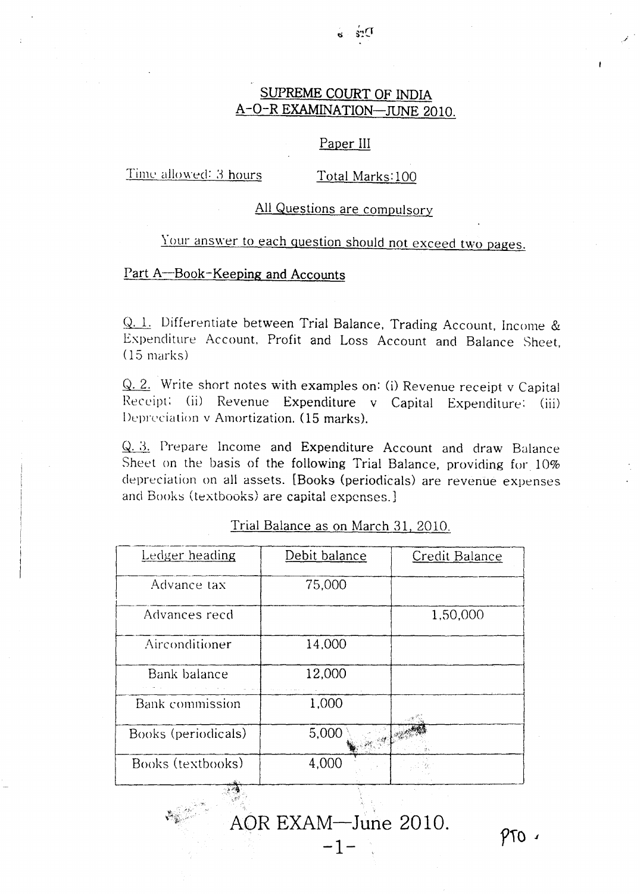# SUPREME COURT OF INDIA A-O-R EXAMINATION-JUNE 2010.

#### Paper III

Time allowed: 3 hours

Total Marks: 100

### All Questions are compulsory

# Your answer to each question should not exceed two pages.

## Part A-Book-Keeping and Accounts

Q. 1. Differentiate between Trial Balance, Trading Account, Income & Expenditure Account. Profit and Loss Account and Balance Sheet, (15 marks)

Write short notes with examples on: (i) Revenue receipt v Capital Receipt: (ii) Revenue Expenditure v Capital Expenditure: (iii) Depreciation v Amortization. (15 marks),

 $Q. 3$ . Prepare Income and Expenditure Account and draw Balance Sheet on the basis of the following Trial Balance, providing for 10% depreciation on all assets. [Books (periodicals) are revenue expenses and Books (textbooks) are capital expenses.]

| Ledger heading         | Debit balance | Credit Balance |
|------------------------|---------------|----------------|
| Advance tax            | 75,000        |                |
| Advances recd          |               | 1,50,000       |
| Airconditioner         | 14,000        |                |
| Bank balance           | 12,000        |                |
| <b>Bank</b> commission | 1,000         |                |
| Books (periodicals)    | 5,000         |                |
| Books (textbooks)      | 4,000         |                |
|                        |               |                |

Trial Balance as on March 31, 2010.

AOR EXAM-June 2010.

-1-

 $PTO$ 

*.j .*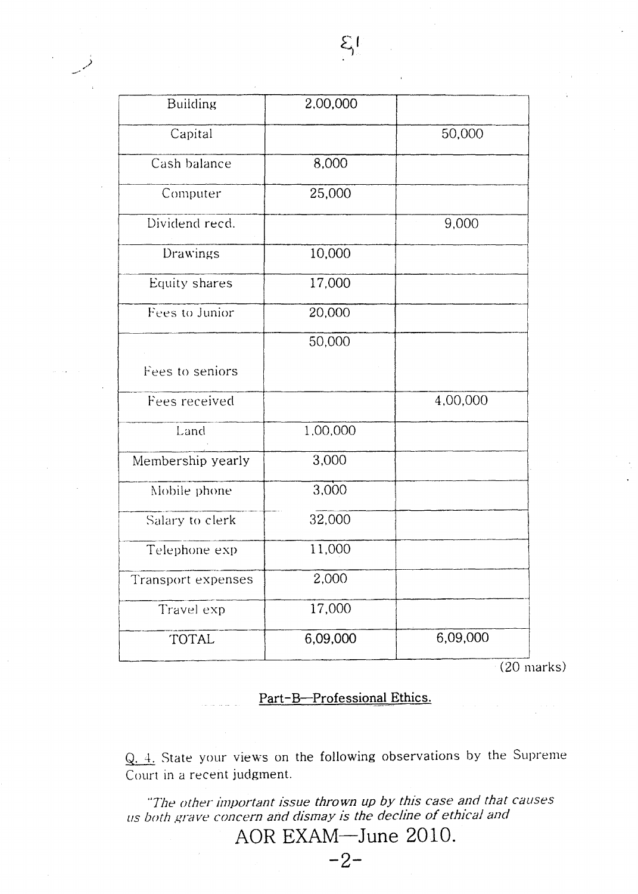| <b>Building</b>    | 2,00,000 |          |
|--------------------|----------|----------|
| Capital            |          | 50,000   |
| Cash balance       | 8,000    |          |
| Computer           | 25,000   |          |
| Dividend recd.     |          | 9,000    |
| Drawings           | 10,000   |          |
| Equity shares      | 17,000   |          |
| Fees to Junior     | 20,000   |          |
|                    | 50,000   |          |
| Fees to seniors    |          |          |
| Fees received      |          | 4,00,000 |
| Land               | 1,00,000 |          |
| Membership yearly  | 3,000    |          |
| Mobile phone       | 3,000    |          |
| Salary to clerk    | 32,000   |          |
| Telephone exp      | 11,000   |          |
| Transport expenses | 2,000    |          |
| Travel exp         | 17,000   |          |
| TOTAL              | 6,09,000 | 6,09,000 |

(20 marks)

# Part-B-Professional Ethics.

 $Q. 4.$  State your views on the following observations by the Supreme Court in a recent judgment.

*"The other linportant issue thrown up by this case and that causes liS both grave concern and dismay is the decline of ethical and*

AOR EXAM-June 2010.

-2-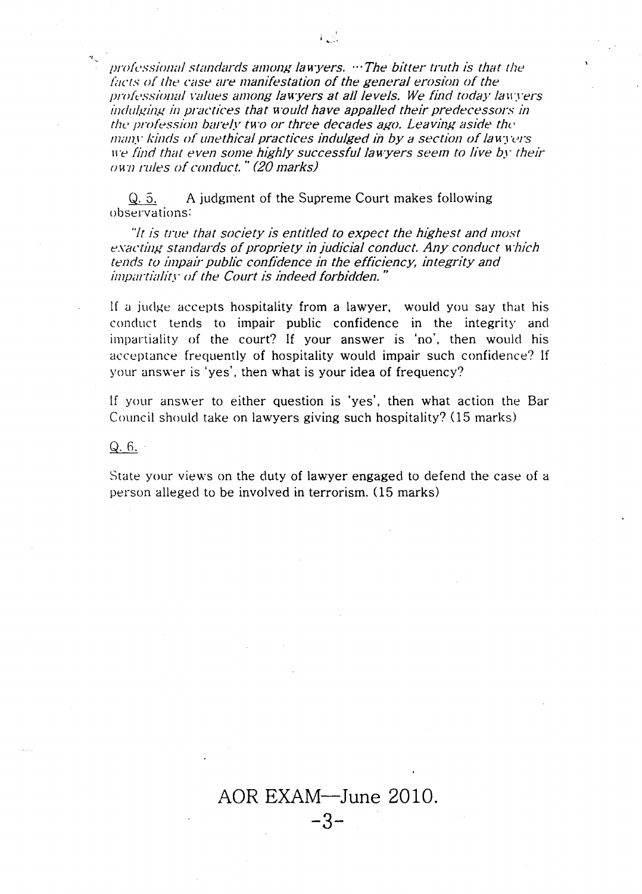*professional standards among lawyers.* ... The bitter *truth* is that the *lacts of the case are manifestation of the general erosion of the professional values among lawyers at all levels. We find today lawyers indulging in practices that would have appalled their predecessors in the prolession barely two or three decades ago. Leavii1g aside tbe many kinds of unethical practices indulged in by a section of lawyers we find that even some highly successful lawyers seem to live by their own rules of conduct.* " *(20 marks)*

A judgment of the Supreme Court makes following Q. 5. observations:

*"It is true that society is entitled to expect the highest and most eXCJct,ill! standards of propriety in judicial conduct. Any conduct which tends to impair public confidence in the efficiency, integrity and impartia/if.'· of the Court is indeed forbidden. "*

If a judge accepts hospitality from a lawyer, would you say that his conduct tends to impair public confidence in the integrity and impartiality of the court? If your answer is 'no'. then would his acceptance frequently of hospitality would impair such confidence? If your answer is 'yes'. then what is your idea of frequency?

If your answer to either question is 'yes', then what action the Bar Council should take on lawyers giving such hospitality? (15 marks)

 $Q.6.$ 

,,~

State your views on the duty of lawyer engaged to defend the case of a person alleged to be involved in terrorism. (15 marks)

AOR EXAM-June 2010. **-3-**